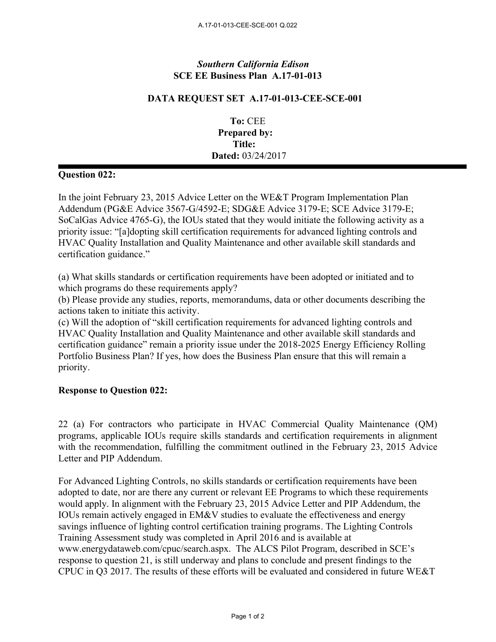## *Southern California Edison* **SCE EE Business Plan A.17-01-013**

## **DATA REQUEST SET A.17-01-013-CEE-SCE-001**

**To:** CEE **Prepared by: Title: Dated:** 03/24/2017

## **Question 022:**

In the joint February 23, 2015 Advice Letter on the WE&T Program Implementation Plan Addendum (PG&E Advice 3567-G/4592-E; SDG&E Advice 3179-E; SCE Advice 3179-E; SoCalGas Advice 4765-G), the IOUs stated that they would initiate the following activity as a priority issue: "[a]dopting skill certification requirements for advanced lighting controls and HVAC Quality Installation and Quality Maintenance and other available skill standards and certification guidance."

(a) What skills standards or certification requirements have been adopted or initiated and to which programs do these requirements apply?

(b) Please provide any studies, reports, memorandums, data or other documents describing the actions taken to initiate this activity.

(c) Will the adoption of "skill certification requirements for advanced lighting controls and HVAC Quality Installation and Quality Maintenance and other available skill standards and certification guidance" remain a priority issue under the 2018-2025 Energy Efficiency Rolling Portfolio Business Plan? If yes, how does the Business Plan ensure that this will remain a priority.

## **Response to Question 022:**

22 (a) For contractors who participate in HVAC Commercial Quality Maintenance (QM) programs, applicable IOUs require skills standards and certification requirements in alignment with the recommendation, fulfilling the commitment outlined in the February 23, 2015 Advice Letter and PIP Addendum.

For Advanced Lighting Controls, no skills standards or certification requirements have been adopted to date, nor are there any current or relevant EE Programs to which these requirements would apply. In alignment with the February 23, 2015 Advice Letter and PIP Addendum, the IOUs remain actively engaged in EM&V studies to evaluate the effectiveness and energy savings influence of lighting control certification training programs. The Lighting Controls Training Assessment study was completed in April 2016 and is available at www.energydataweb.com/cpuc/search.aspx. The ALCS Pilot Program, described in SCE's response to question 21, is still underway and plans to conclude and present findings to the CPUC in Q3 2017. The results of these efforts will be evaluated and considered in future WE&T